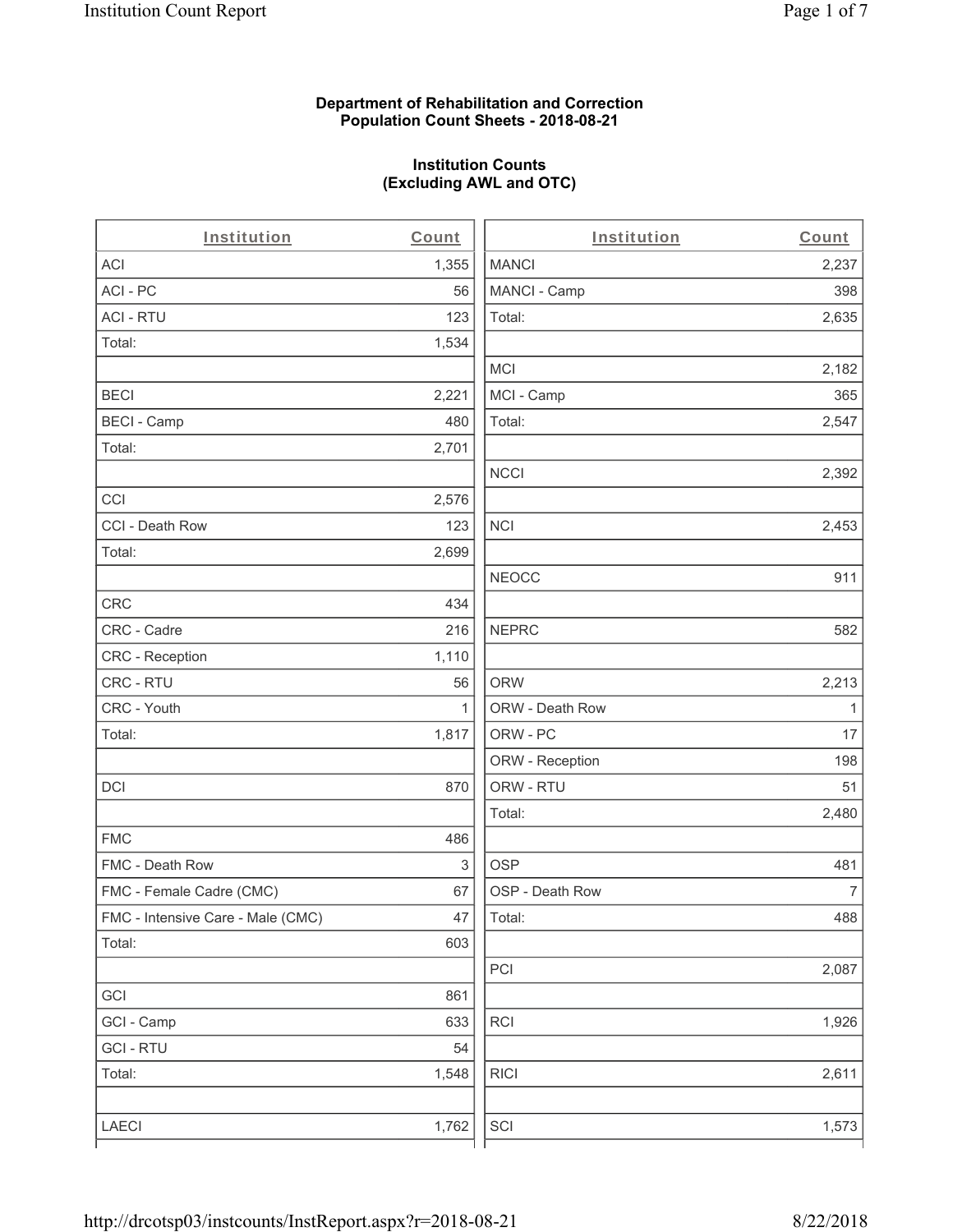### **Department of Rehabilitation and Correction Population Count Sheets - 2018-08-21**

# **Institution Counts (Excluding AWL and OTC)**

 $\overline{a}$ .

| Institution                       | Count        | Institution     | Count        |
|-----------------------------------|--------------|-----------------|--------------|
| ACI                               | 1,355        | <b>MANCI</b>    | 2,237        |
| ACI-PC                            | 56           | MANCI - Camp    | 398          |
| <b>ACI - RTU</b>                  | 123          | Total:          | 2,635        |
| Total:                            | 1,534        |                 |              |
|                                   |              | <b>MCI</b>      | 2,182        |
| <b>BECI</b>                       | 2,221        | MCI - Camp      | 365          |
| <b>BECI - Camp</b>                | 480          | Total:          | 2,547        |
| Total:                            | 2,701        |                 |              |
|                                   |              | <b>NCCI</b>     | 2,392        |
| CCI                               | 2,576        |                 |              |
| CCI - Death Row                   | 123          | $\sf NCI$       | 2,453        |
| Total:                            | 2,699        |                 |              |
|                                   |              | <b>NEOCC</b>    | 911          |
| <b>CRC</b>                        | 434          |                 |              |
| CRC - Cadre                       | 216          | <b>NEPRC</b>    | 582          |
| CRC - Reception                   | 1,110        |                 |              |
| CRC - RTU                         | 56           | <b>ORW</b>      | 2,213        |
| CRC - Youth                       | $\mathbf{1}$ | ORW - Death Row | $\mathbf{1}$ |
| Total:                            | 1,817        | ORW - PC        | 17           |
|                                   |              | ORW - Reception | 198          |
| DCI                               | 870          | ORW - RTU       | 51           |
|                                   |              | Total:          | 2,480        |
| <b>FMC</b>                        | 486          |                 |              |
| FMC - Death Row                   | 3            | <b>OSP</b>      | 481          |
| FMC - Female Cadre (CMC)          | 67           | OSP - Death Row | 7            |
| FMC - Intensive Care - Male (CMC) | 47           | Total:          | 488          |
| Total:                            | 603          |                 |              |
|                                   |              | PCI             | 2,087        |
| GCI                               | 861          |                 |              |
| GCI - Camp                        | 633          | RCI             | 1,926        |
| <b>GCI - RTU</b>                  | 54           |                 |              |
| Total:                            | 1,548        | <b>RICI</b>     | 2,611        |
|                                   |              |                 |              |
| LAECI                             | 1,762        | SCI             | 1,573        |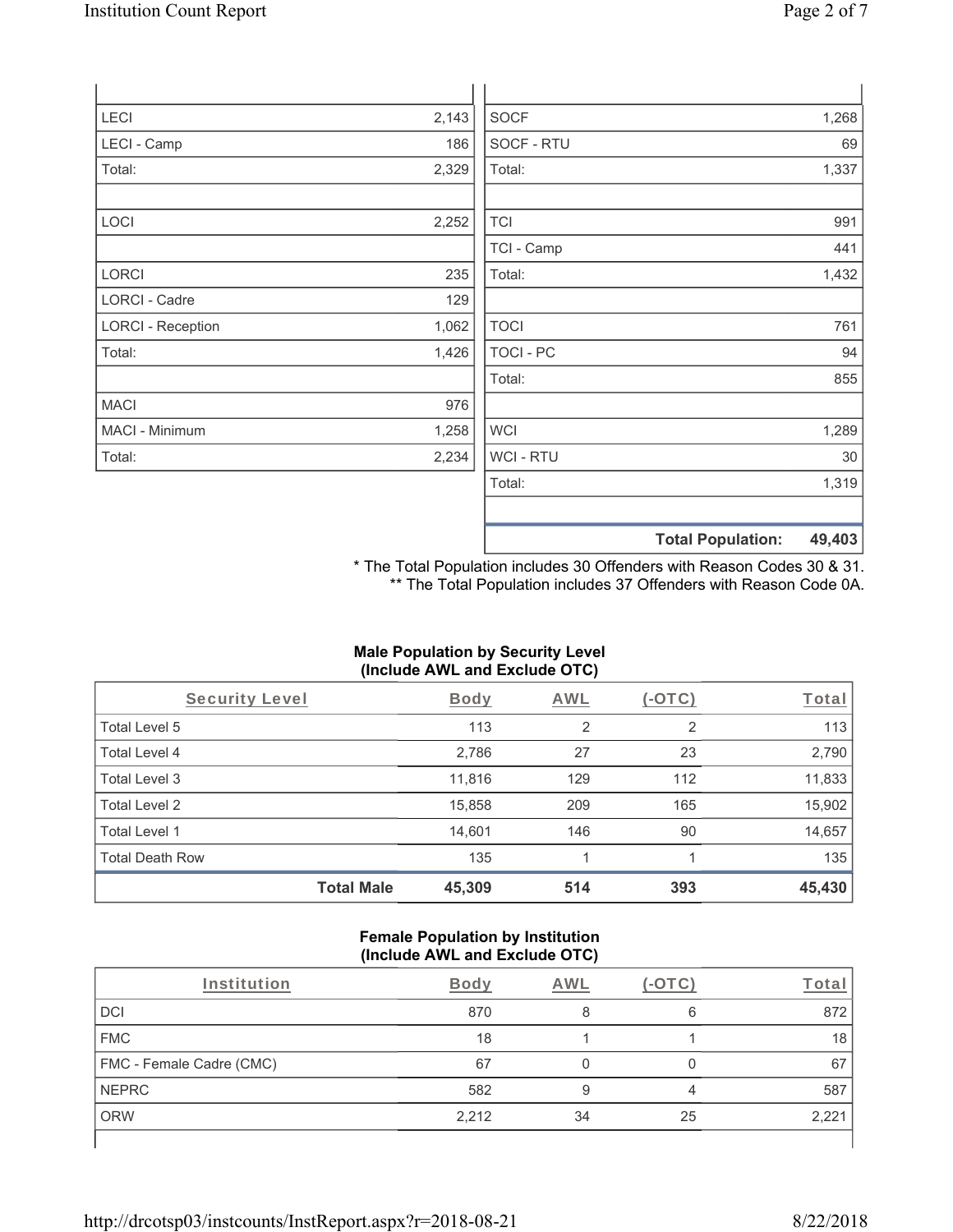| <b>LECI</b>              | 2,143 | <b>SOCF</b>      |                          | 1,268  |
|--------------------------|-------|------------------|--------------------------|--------|
| LECI - Camp              | 186   | SOCF - RTU       |                          | 69     |
| Total:                   | 2,329 | Total:           |                          | 1,337  |
|                          |       |                  |                          |        |
| LOCI                     | 2,252 | <b>TCI</b>       |                          | 991    |
|                          |       | TCI - Camp       |                          | 441    |
| <b>LORCI</b>             | 235   | Total:           |                          | 1,432  |
| LORCI - Cadre            | 129   |                  |                          |        |
| <b>LORCI - Reception</b> | 1,062 | <b>TOCI</b>      |                          | 761    |
| Total:                   | 1,426 | <b>TOCI - PC</b> |                          | 94     |
|                          |       | Total:           |                          | 855    |
| <b>MACI</b>              | 976   |                  |                          |        |
| MACI - Minimum           | 1,258 | <b>WCI</b>       |                          | 1,289  |
| Total:                   | 2,234 | <b>WCI-RTU</b>   |                          | 30     |
|                          |       | Total:           |                          | 1,319  |
|                          |       |                  |                          |        |
|                          |       |                  | <b>Total Population:</b> | 49,403 |

\* The Total Population includes 30 Offenders with Reason Codes 30 & 31. \*\* The Total Population includes 37 Offenders with Reason Code 0A.

### **Male Population by Security Level (Include AWL and Exclude OTC)**

| Security Level         |                   | <b>Body</b> | AWL | $(-\text{OTC})$ | Total  |
|------------------------|-------------------|-------------|-----|-----------------|--------|
| Total Level 5          |                   | 113         | 2   | 2               | 113    |
| Total Level 4          |                   | 2,786       | 27  | 23              | 2,790  |
| Total Level 3          |                   | 11,816      | 129 | 112             | 11,833 |
| Total Level 2          |                   | 15,858      | 209 | 165             | 15,902 |
| Total Level 1          |                   | 14,601      | 146 | 90              | 14,657 |
| <b>Total Death Row</b> |                   | 135         |     |                 | 135    |
|                        | <b>Total Male</b> | 45,309      | 514 | 393             | 45,430 |

#### **Female Population by Institution (Include AWL and Exclude OTC)**

| Institution              | Bodv  | AWL |    | Tota  |
|--------------------------|-------|-----|----|-------|
| <b>DCI</b>               | 870   |     | 6  | 872   |
| <b>FMC</b>               | 18    |     |    | 18    |
| FMC - Female Cadre (CMC) | 67    |     |    | 67    |
| <b>NEPRC</b>             | 582   |     |    | 587   |
| <b>ORW</b>               | 2,212 | 34  | 25 | 2,22' |
|                          |       |     |    |       |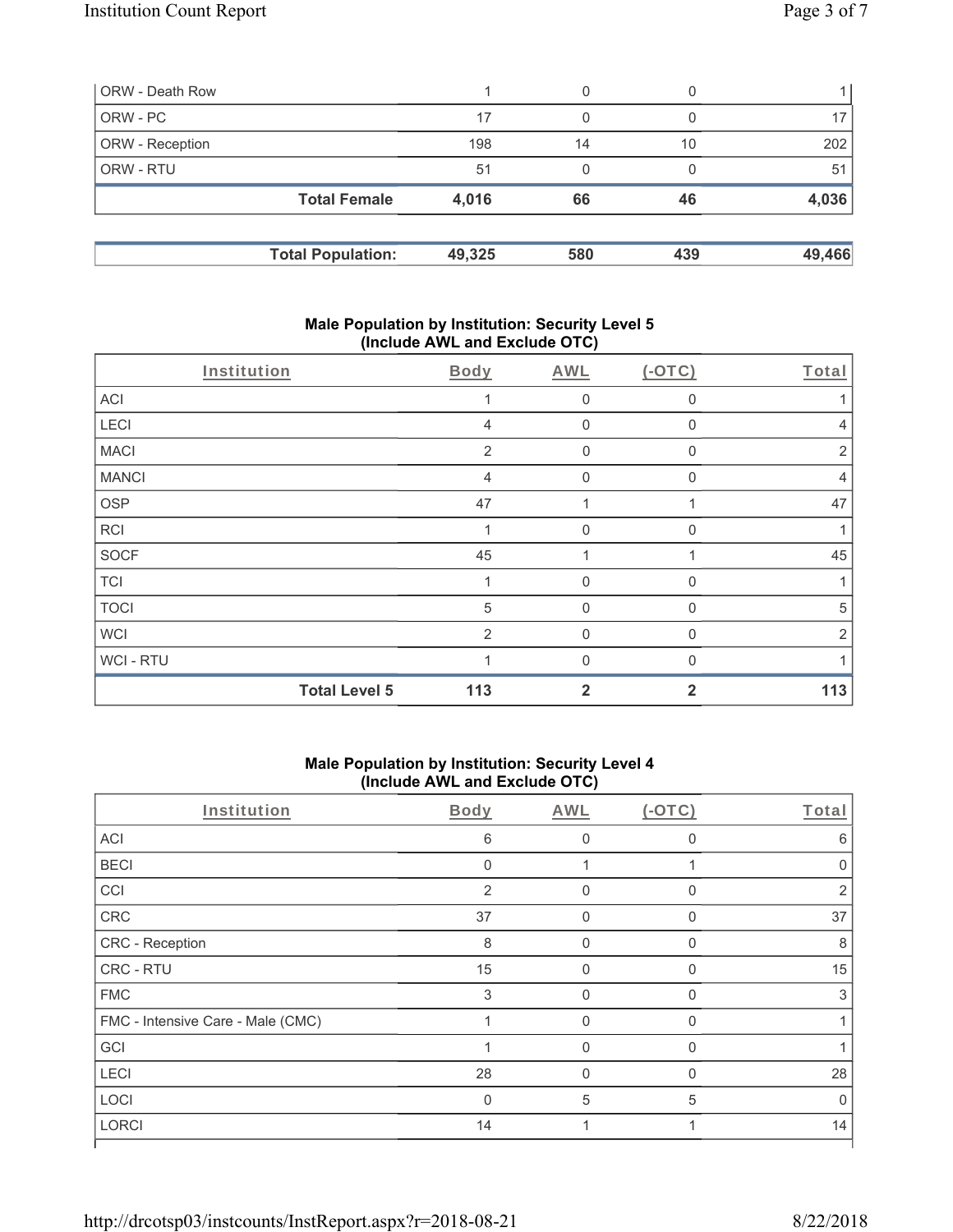|                                                 | 0      |     |        |
|-------------------------------------------------|--------|-----|--------|
| 17                                              | 0      |     |        |
| 198                                             | 14     | 10  | 202    |
| 51                                              | 0      |     | 51     |
| 4,016                                           | 66     | 46  | 4,036  |
|                                                 | 580    | 439 | 49,466 |
| <b>Total Female</b><br><b>Total Population:</b> | 49,325 |     |        |

### **Male Population by Institution: Security Level 5 (Include AWL and Exclude OTC)**

| Institution  |                      | Body           | AWL          | $(-OTC)$     | Total          |
|--------------|----------------------|----------------|--------------|--------------|----------------|
| ACI          |                      |                | $\mathbf 0$  | 0            |                |
| LECI         |                      | $\overline{4}$ | $\mathbf{0}$ | 0            | 4              |
| <b>MACI</b>  |                      | 2              | $\mathbf 0$  | 0            | $\overline{2}$ |
| <b>MANCI</b> |                      | $\overline{4}$ | $\mathbf 0$  | 0            | $\overline{4}$ |
| <b>OSP</b>   |                      | 47             | 1            |              | 47             |
| <b>RCI</b>   |                      |                | $\mathbf{0}$ | 0            |                |
| <b>SOCF</b>  |                      | 45             | 4            |              | 45             |
| <b>TCI</b>   |                      |                | $\mathbf{0}$ | $\Omega$     | 1              |
| <b>TOCI</b>  |                      | 5              | $\mathbf 0$  | $\mathbf{0}$ | 5              |
| <b>WCI</b>   |                      | 2              | $\mathbf{0}$ | 0            | $\overline{2}$ |
| WCI - RTU    |                      |                | $\Omega$     |              |                |
|              | <b>Total Level 5</b> | 113            | $\mathbf{2}$ | 2            | 113            |

## **Male Population by Institution: Security Level 4 (Include AWL and Exclude OTC)**

| Institution                       | Body         | AWL      | $(-OTC)$ | Total          |
|-----------------------------------|--------------|----------|----------|----------------|
| ACI                               | 6            | $\Omega$ | $\Omega$ | 6              |
| <b>BECI</b>                       | $\mathbf{0}$ |          |          |                |
| CCI                               | 2            | $\Omega$ | $\Omega$ | $\mathfrak{p}$ |
| CRC                               | 37           | $\Omega$ | $\Omega$ | 37             |
| CRC - Reception                   | 8            | $\Omega$ | $\Omega$ | 8              |
| CRC - RTU                         | 15           | $\Omega$ | O        | 15             |
| <b>FMC</b>                        | 3            | $\Omega$ | $\Omega$ | 3              |
| FMC - Intensive Care - Male (CMC) |              | $\Omega$ | 0        |                |
| GCI                               |              | U        | $\Omega$ |                |
| LECI                              | 28           | $\Omega$ | O        | 28             |
| LOCI                              | $\Omega$     | 5        | 5        | U              |
| <b>LORCI</b>                      | 14           |          |          | 14             |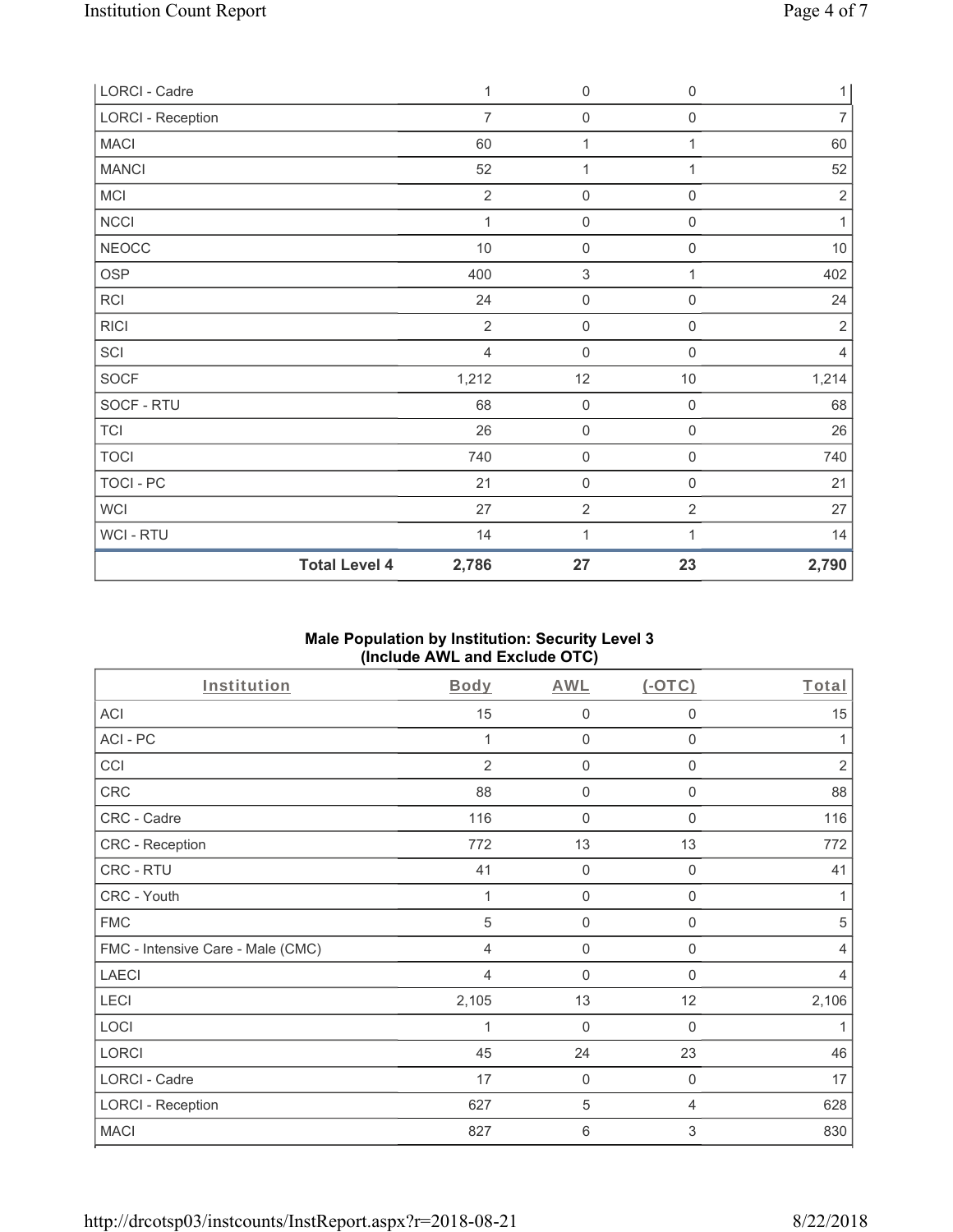| LORCI - Cadre            |                      | 1              | $\mathbf 0$         | $\boldsymbol{0}$    | $\mathbf{1}$   |
|--------------------------|----------------------|----------------|---------------------|---------------------|----------------|
| <b>LORCI - Reception</b> |                      | $\overline{7}$ | $\mathbf 0$         | $\boldsymbol{0}$    | $\overline{7}$ |
| <b>MACI</b>              |                      | 60             | $\mathbf{1}$        | 1                   | 60             |
| <b>MANCI</b>             |                      | 52             | $\mathbf{1}$        | 1                   | 52             |
| MCI                      |                      | $\overline{2}$ | $\mathsf{O}\xspace$ | 0                   | $\sqrt{2}$     |
| NCCI                     |                      | $\mathbf{1}$   | $\mathsf{O}\xspace$ | $\mathbf 0$         | 1              |
| <b>NEOCC</b>             |                      | $10$           | $\mathsf{O}\xspace$ | $\mathsf{O}\xspace$ | $10$           |
| <b>OSP</b>               |                      | 400            | $\sqrt{3}$          | 1                   | 402            |
| RCI                      |                      | 24             | $\mathsf 0$         | $\mathsf{O}\xspace$ | 24             |
| <b>RICI</b>              |                      | $\overline{2}$ | $\mathbf 0$         | 0                   | $\overline{2}$ |
| SCI                      |                      | $\overline{4}$ | $\mathbf 0$         | 0                   | $\overline{4}$ |
| SOCF                     |                      | 1,212          | 12                  | $10$                | 1,214          |
| SOCF - RTU               |                      | 68             | $\mathbf 0$         | $\mathsf{O}\xspace$ | 68             |
| <b>TCI</b>               |                      | 26             | $\mathsf{O}\xspace$ | $\mathsf{O}\xspace$ | 26             |
| <b>TOCI</b>              |                      | 740            | $\mathsf{O}\xspace$ | $\mathsf{O}\xspace$ | 740            |
| TOCI - PC                |                      | 21             | $\mathbf 0$         | $\mathsf{O}\xspace$ | 21             |
| <b>WCI</b>               |                      | 27             | $\sqrt{2}$          | $\overline{2}$      | 27             |
| WCI - RTU                |                      | 14             | $\mathbf{1}$        | 1                   | 14             |
|                          | <b>Total Level 4</b> | 2,786          | 27                  | 23                  | 2,790          |

## **Male Population by Institution: Security Level 3 (Include AWL and Exclude OTC)**

| Institution                       | Body           | AWL         | $(-OTC)$    | Total          |
|-----------------------------------|----------------|-------------|-------------|----------------|
| <b>ACI</b>                        | 15             | $\mathbf 0$ | 0           | 15             |
| ACI-PC                            | 1              | $\mathbf 0$ | 0           | 1              |
| CCI                               | $\overline{2}$ | $\mathbf 0$ | 0           | $\overline{2}$ |
| CRC                               | 88             | $\mathbf 0$ | 0           | 88             |
| CRC - Cadre                       | 116            | $\mathbf 0$ | 0           | 116            |
| CRC - Reception                   | 772            | 13          | 13          | 772            |
| CRC - RTU                         | 41             | $\mathsf 0$ | 0           | 41             |
| CRC - Youth                       |                | 0           | 0           | 1              |
| <b>FMC</b>                        | 5              | $\mathbf 0$ | 0           | 5              |
| FMC - Intensive Care - Male (CMC) | 4              | $\mathbf 0$ | 0           | $\overline{4}$ |
| <b>LAECI</b>                      | 4              | $\mathbf 0$ | $\Omega$    | $\overline{4}$ |
| LECI                              | 2,105          | 13          | 12          | 2,106          |
| LOCI                              | 1              | $\mathbf 0$ | $\mathbf 0$ | 1              |
| <b>LORCI</b>                      | 45             | 24          | 23          | 46             |
| LORCI - Cadre                     | 17             | $\mathbf 0$ | 0           | 17             |
| <b>LORCI - Reception</b>          | 627            | 5           | 4           | 628            |
| <b>MACI</b>                       | 827            | $\,6\,$     | 3           | 830            |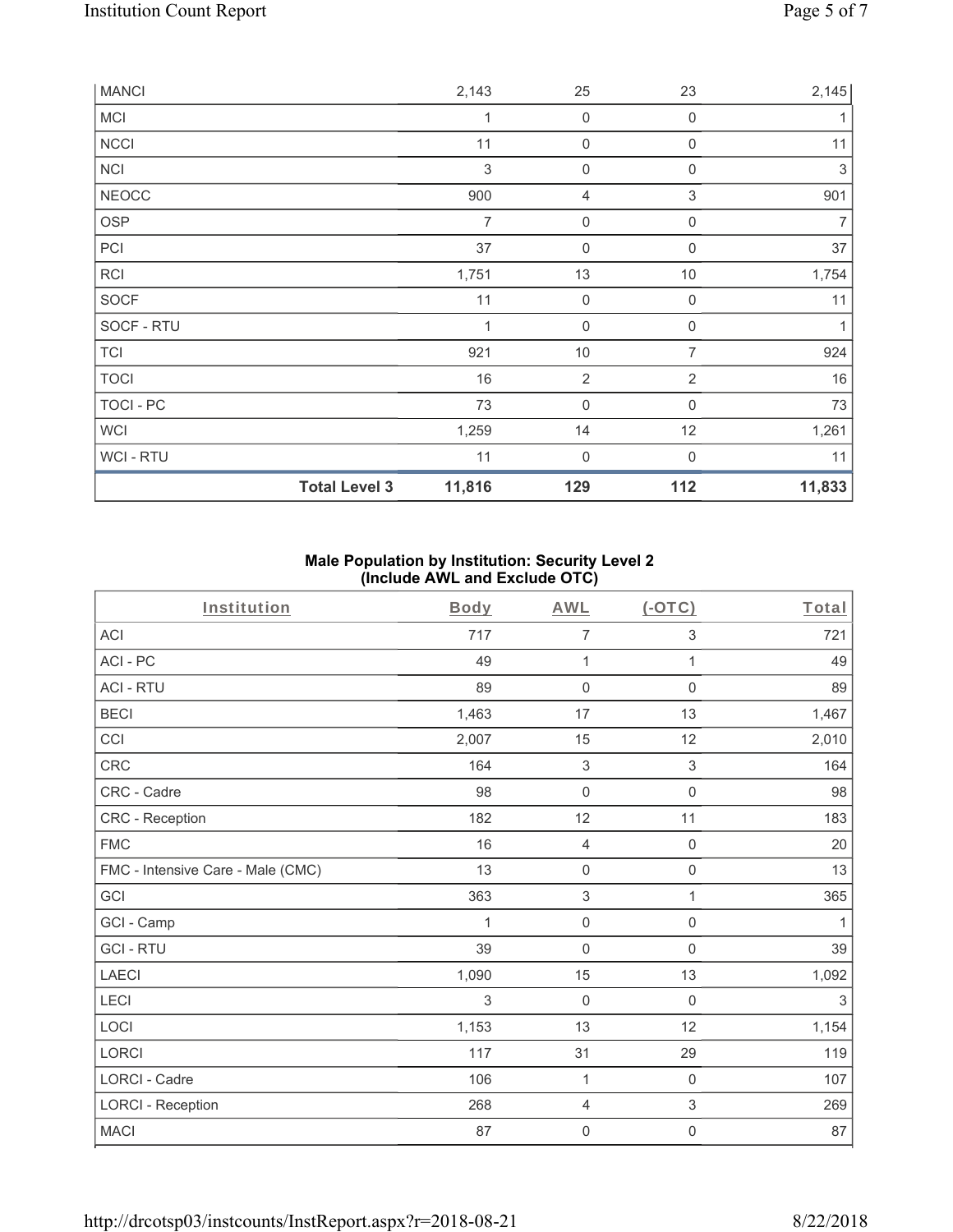| <b>MANCI</b>   |                      | 2,143          | 25                  | 23          | 2,145          |
|----------------|----------------------|----------------|---------------------|-------------|----------------|
| <b>MCI</b>     |                      | 1              | $\mathsf{O}\xspace$ | $\mathbf 0$ |                |
| <b>NCCI</b>    |                      | 11             | $\mathbf 0$         | $\mathbf 0$ | 11             |
| NCI            |                      | $\,$ 3 $\,$    | $\boldsymbol{0}$    | 0           | 3              |
| <b>NEOCC</b>   |                      | 900            | 4                   | 3           | 901            |
| OSP            |                      | $\overline{7}$ | $\boldsymbol{0}$    | $\mathbf 0$ | $\overline{7}$ |
| PCI            |                      | 37             | $\boldsymbol{0}$    | $\mathbf 0$ | 37             |
| <b>RCI</b>     |                      | 1,751          | 13                  | 10          | 1,754          |
| SOCF           |                      | 11             | $\mathbf 0$         | $\mathbf 0$ | 11             |
| SOCF - RTU     |                      | 1              | $\boldsymbol{0}$    | 0           | 1              |
| <b>TCI</b>     |                      | 921            | 10                  | 7           | 924            |
| <b>TOCI</b>    |                      | 16             | $\overline{2}$      | 2           | 16             |
| TOCI - PC      |                      | 73             | $\mathbf 0$         | 0           | 73             |
| <b>WCI</b>     |                      | 1,259          | 14                  | 12          | 1,261          |
| <b>WCI-RTU</b> |                      | 11             | $\mathbf 0$         | $\Omega$    | 11             |
|                | <b>Total Level 3</b> | 11,816         | 129                 | 112         | 11,833         |

## **Male Population by Institution: Security Level 2 (Include AWL and Exclude OTC)**

| Institution                       | Body  | <b>AWL</b>          | $($ -OTC $)$        | Total |
|-----------------------------------|-------|---------------------|---------------------|-------|
| <b>ACI</b>                        | 717   | 7                   | 3                   | 721   |
| ACI - PC                          | 49    | 1                   | 1                   | 49    |
| <b>ACI - RTU</b>                  | 89    | 0                   | $\mathsf 0$         | 89    |
| <b>BECI</b>                       | 1,463 | 17                  | 13                  | 1,467 |
| CCI                               | 2,007 | 15                  | 12                  | 2,010 |
| CRC                               | 164   | $\mathbf{3}$        | 3                   | 164   |
| CRC - Cadre                       | 98    | $\mathsf{O}\xspace$ | $\mathsf{O}\xspace$ | 98    |
| CRC - Reception                   | 182   | 12                  | 11                  | 183   |
| <b>FMC</b>                        | 16    | $\overline{4}$      | $\mathbf 0$         | 20    |
| FMC - Intensive Care - Male (CMC) | 13    | $\mathbf 0$         | $\mathbf 0$         | 13    |
| GCI                               | 363   | $\sqrt{3}$          | 1                   | 365   |
| GCI - Camp                        | 1     | $\mathbf 0$         | $\mathsf{O}\xspace$ | 1     |
| <b>GCI-RTU</b>                    | 39    | $\mathbf 0$         | $\mathsf 0$         | 39    |
| <b>LAECI</b>                      | 1,090 | 15                  | 13                  | 1,092 |
| LECI                              | 3     | $\mathbf 0$         | $\mathsf{O}\xspace$ | 3     |
| LOCI                              | 1,153 | 13                  | 12                  | 1,154 |
| LORCI                             | 117   | 31                  | 29                  | 119   |
| <b>LORCI - Cadre</b>              | 106   | $\mathbf{1}$        | $\mathbf 0$         | 107   |
| <b>LORCI - Reception</b>          | 268   | $\overline{4}$      | 3                   | 269   |
| <b>MACI</b>                       | 87    | 0                   | 0                   | 87    |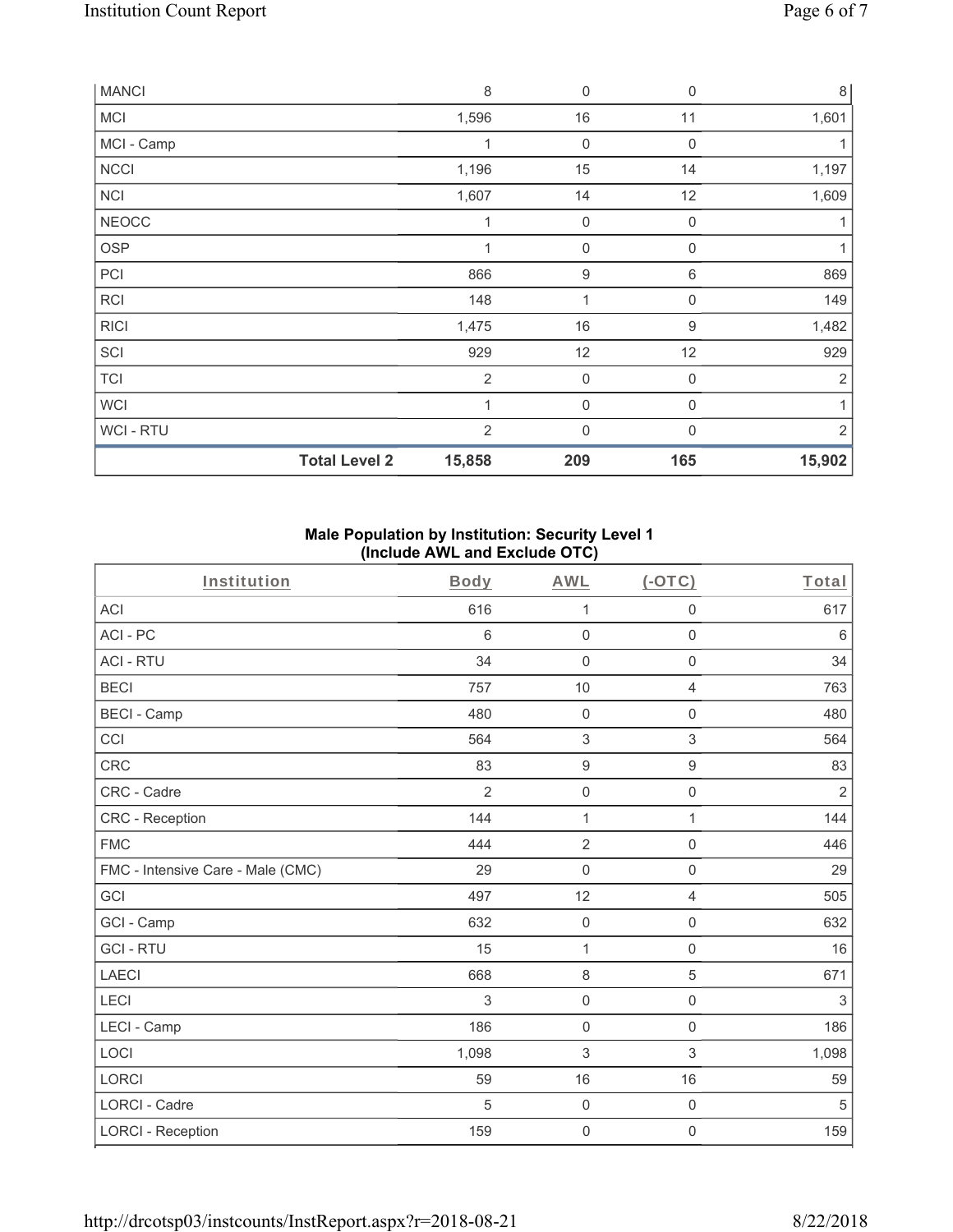| <b>MANCI</b> |                      | 8              | $\boldsymbol{0}$ | $\mathbf 0$      | $\,8\,$        |
|--------------|----------------------|----------------|------------------|------------------|----------------|
| <b>MCI</b>   |                      | 1,596          | 16               | 11               | 1,601          |
| MCI - Camp   |                      |                | $\mathbf 0$      | 0                |                |
| <b>NCCI</b>  |                      | 1,196          | 15               | 14               | 1,197          |
| <b>NCI</b>   |                      | 1,607          | 14               | 12               | 1,609          |
| <b>NEOCC</b> |                      | 1              | $\mathbf 0$      | 0                | 1              |
| <b>OSP</b>   |                      |                | $\mathbf 0$      | 0                |                |
| PCI          |                      | 866            | $\boldsymbol{9}$ | 6                | 869            |
| <b>RCI</b>   |                      | 148            | 1                | 0                | 149            |
| <b>RICI</b>  |                      | 1,475          | 16               | $\boldsymbol{9}$ | 1,482          |
| SCI          |                      | 929            | 12               | 12               | 929            |
| <b>TCI</b>   |                      | $\overline{2}$ | $\boldsymbol{0}$ | $\boldsymbol{0}$ | $\overline{2}$ |
| <b>WCI</b>   |                      | 1              | 0                | 0                | $\mathbf{1}$   |
| WCI - RTU    |                      | $\overline{2}$ | 0                | $\mathbf{0}$     | $\overline{2}$ |
|              | <b>Total Level 2</b> | 15,858         | 209              | 165              | 15,902         |

### **Male Population by Institution: Security Level 1 (Include AWL and Exclude OTC)**

| Institution                       | <b>Body</b>    | <b>AWL</b>          | $(-OTC)$            | Total      |
|-----------------------------------|----------------|---------------------|---------------------|------------|
| <b>ACI</b>                        | 616            | 1                   | $\boldsymbol{0}$    | 617        |
| ACI-PC                            | 6              | $\boldsymbol{0}$    | $\boldsymbol{0}$    | 6          |
| <b>ACI - RTU</b>                  | 34             | $\mathbf 0$         | $\mathbf 0$         | 34         |
| <b>BECI</b>                       | 757            | 10                  | $\overline{4}$      | 763        |
| <b>BECI - Camp</b>                | 480            | $\mathsf{O}\xspace$ | $\mathbf 0$         | 480        |
| CCI                               | 564            | 3                   | 3                   | 564        |
| <b>CRC</b>                        | 83             | $\boldsymbol{9}$    | $\boldsymbol{9}$    | 83         |
| CRC - Cadre                       | $\overline{2}$ | $\mathbf 0$         | $\mathsf{O}\xspace$ | $\sqrt{2}$ |
| <b>CRC</b> - Reception            | 144            | $\mathbf{1}$        | 1                   | 144        |
| <b>FMC</b>                        | 444            | $\overline{2}$      | $\mathbf 0$         | 446        |
| FMC - Intensive Care - Male (CMC) | 29             | $\mathbf 0$         | $\mathsf{O}\xspace$ | 29         |
| GCI                               | 497            | 12                  | 4                   | 505        |
| GCI - Camp                        | 632            | $\mathsf{O}\xspace$ | $\mathbf 0$         | 632        |
| <b>GCI-RTU</b>                    | 15             | 1                   | $\mathsf{O}\xspace$ | 16         |
| <b>LAECI</b>                      | 668            | $\,8\,$             | 5                   | 671        |
| LECI                              | 3              | $\mathsf 0$         | $\mathsf{O}\xspace$ | 3          |
| LECI - Camp                       | 186            | $\mathbf 0$         | $\mathsf 0$         | 186        |
| LOCI                              | 1,098          | 3                   | $\,$ 3 $\,$         | 1,098      |
| <b>LORCI</b>                      | 59             | 16                  | 16                  | 59         |
| <b>LORCI - Cadre</b>              | 5              | $\mathsf{O}\xspace$ | $\mathsf{O}\xspace$ | 5          |
| <b>LORCI - Reception</b>          | 159            | $\mathsf{O}\xspace$ | $\boldsymbol{0}$    | 159        |